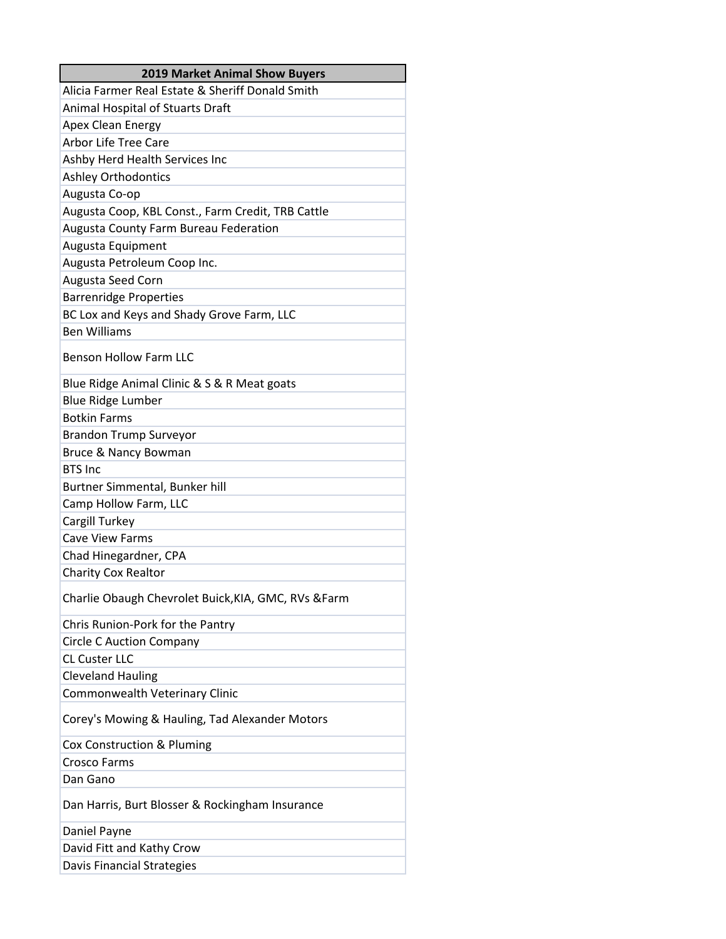| Alicia Farmer Real Estate & Sheriff Donald Smith<br>Animal Hospital of Stuarts Draft<br>Apex Clean Energy<br><b>Arbor Life Tree Care</b><br>Ashby Herd Health Services Inc<br>Ashley Orthodontics<br>Augusta Co-op<br>Augusta Coop, KBL Const., Farm Credit, TRB Cattle<br><b>Augusta County Farm Bureau Federation</b><br>Augusta Equipment<br>Augusta Petroleum Coop Inc.<br>Augusta Seed Corn<br><b>Barrenridge Properties</b> |
|-----------------------------------------------------------------------------------------------------------------------------------------------------------------------------------------------------------------------------------------------------------------------------------------------------------------------------------------------------------------------------------------------------------------------------------|
|                                                                                                                                                                                                                                                                                                                                                                                                                                   |
|                                                                                                                                                                                                                                                                                                                                                                                                                                   |
|                                                                                                                                                                                                                                                                                                                                                                                                                                   |
|                                                                                                                                                                                                                                                                                                                                                                                                                                   |
|                                                                                                                                                                                                                                                                                                                                                                                                                                   |
|                                                                                                                                                                                                                                                                                                                                                                                                                                   |
|                                                                                                                                                                                                                                                                                                                                                                                                                                   |
|                                                                                                                                                                                                                                                                                                                                                                                                                                   |
|                                                                                                                                                                                                                                                                                                                                                                                                                                   |
|                                                                                                                                                                                                                                                                                                                                                                                                                                   |
|                                                                                                                                                                                                                                                                                                                                                                                                                                   |
|                                                                                                                                                                                                                                                                                                                                                                                                                                   |
|                                                                                                                                                                                                                                                                                                                                                                                                                                   |
| BC Lox and Keys and Shady Grove Farm, LLC                                                                                                                                                                                                                                                                                                                                                                                         |
| <b>Ben Williams</b>                                                                                                                                                                                                                                                                                                                                                                                                               |
| <b>Benson Hollow Farm LLC</b>                                                                                                                                                                                                                                                                                                                                                                                                     |
| Blue Ridge Animal Clinic & S & R Meat goats                                                                                                                                                                                                                                                                                                                                                                                       |
| <b>Blue Ridge Lumber</b>                                                                                                                                                                                                                                                                                                                                                                                                          |
| <b>Botkin Farms</b>                                                                                                                                                                                                                                                                                                                                                                                                               |
| <b>Brandon Trump Surveyor</b>                                                                                                                                                                                                                                                                                                                                                                                                     |
| Bruce & Nancy Bowman                                                                                                                                                                                                                                                                                                                                                                                                              |
| <b>BTS Inc</b>                                                                                                                                                                                                                                                                                                                                                                                                                    |
| Burtner Simmental, Bunker hill                                                                                                                                                                                                                                                                                                                                                                                                    |
| Camp Hollow Farm, LLC                                                                                                                                                                                                                                                                                                                                                                                                             |
| Cargill Turkey                                                                                                                                                                                                                                                                                                                                                                                                                    |
| <b>Cave View Farms</b>                                                                                                                                                                                                                                                                                                                                                                                                            |
| Chad Hinegardner, CPA                                                                                                                                                                                                                                                                                                                                                                                                             |
| Charity Cox Realtor                                                                                                                                                                                                                                                                                                                                                                                                               |
| Charlie Obaugh Chevrolet Buick, KIA, GMC, RVs & Farm                                                                                                                                                                                                                                                                                                                                                                              |
| Chris Runion-Pork for the Pantry                                                                                                                                                                                                                                                                                                                                                                                                  |
| <b>Circle C Auction Company</b>                                                                                                                                                                                                                                                                                                                                                                                                   |
| <b>CL Custer LLC</b>                                                                                                                                                                                                                                                                                                                                                                                                              |
| <b>Cleveland Hauling</b>                                                                                                                                                                                                                                                                                                                                                                                                          |
| Commonwealth Veterinary Clinic                                                                                                                                                                                                                                                                                                                                                                                                    |
| Corey's Mowing & Hauling, Tad Alexander Motors                                                                                                                                                                                                                                                                                                                                                                                    |
| Cox Construction & Pluming                                                                                                                                                                                                                                                                                                                                                                                                        |
| Crosco Farms                                                                                                                                                                                                                                                                                                                                                                                                                      |
| Dan Gano                                                                                                                                                                                                                                                                                                                                                                                                                          |
| Dan Harris, Burt Blosser & Rockingham Insurance                                                                                                                                                                                                                                                                                                                                                                                   |
| Daniel Payne                                                                                                                                                                                                                                                                                                                                                                                                                      |
| David Fitt and Kathy Crow                                                                                                                                                                                                                                                                                                                                                                                                         |
| Davis Financial Strategies                                                                                                                                                                                                                                                                                                                                                                                                        |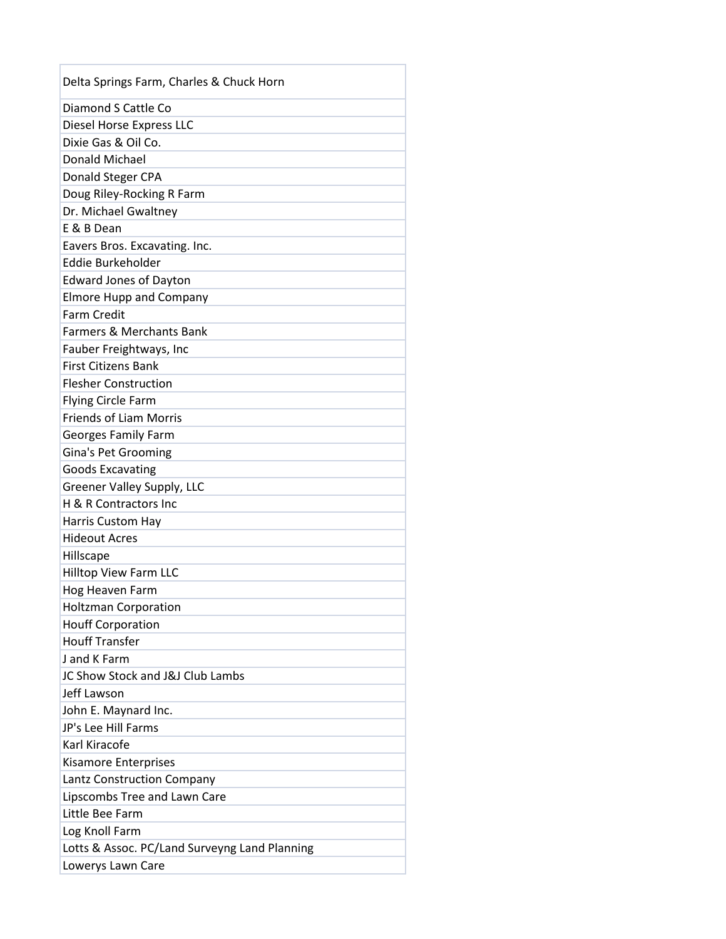| Delta Springs Farm, Charles & Chuck Horn          |  |
|---------------------------------------------------|--|
| Diamond S Cattle Co                               |  |
| Diesel Horse Express LLC                          |  |
| Dixie Gas & Oil Co.                               |  |
| <b>Donald Michael</b>                             |  |
| Donald Steger CPA                                 |  |
| Doug Riley-Rocking R Farm                         |  |
| Dr. Michael Gwaltney                              |  |
| E & B Dean                                        |  |
| Eavers Bros. Excavating. Inc.                     |  |
| Eddie Burkeholder                                 |  |
| <b>Edward Jones of Dayton</b>                     |  |
| <b>Elmore Hupp and Company</b>                    |  |
| <b>Farm Credit</b>                                |  |
| Farmers & Merchants Bank                          |  |
| Fauber Freightways, Inc                           |  |
| <b>First Citizens Bank</b>                        |  |
| <b>Flesher Construction</b>                       |  |
| <b>Flying Circle Farm</b>                         |  |
| <b>Friends of Liam Morris</b>                     |  |
| <b>Georges Family Farm</b>                        |  |
| <b>Gina's Pet Grooming</b>                        |  |
| <b>Goods Excavating</b>                           |  |
| Greener Valley Supply, LLC                        |  |
| H & R Contractors Inc                             |  |
| <b>Harris Custom Hay</b>                          |  |
| <b>Hideout Acres</b>                              |  |
| Hillscape                                         |  |
| Hilltop View Farm LLC                             |  |
| Hog Heaven Farm                                   |  |
| <b>Holtzman Corporation</b>                       |  |
| <b>Houff Corporation</b><br><b>Houff Transfer</b> |  |
| <b>Jand K Farm</b>                                |  |
| JC Show Stock and J&J Club Lambs                  |  |
| Jeff Lawson                                       |  |
|                                                   |  |
| John E. Maynard Inc.<br>JP's Lee Hill Farms       |  |
| Karl Kiracofe                                     |  |
| <b>Kisamore Enterprises</b>                       |  |
| Lantz Construction Company                        |  |
| Lipscombs Tree and Lawn Care                      |  |
| Little Bee Farm                                   |  |
| Log Knoll Farm                                    |  |
| Lotts & Assoc. PC/Land Surveyng Land Planning     |  |
| Lowerys Lawn Care                                 |  |
|                                                   |  |